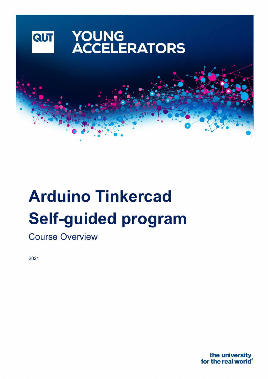

# **Arduino Tinkercad Self-guided program**

Course Overview

2021

the university for the real world<sup>®</sup>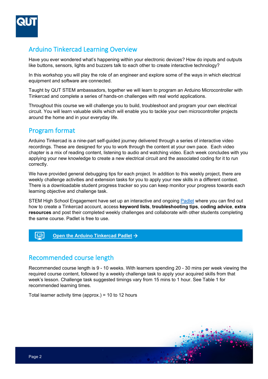

## Arduino Tinkercad Learning Overview

Have you ever wondered what's happening within your electronic devices? How do inputs and outputs like buttons, sensors, lights and buzzers talk to each other to create interactive technology?

In this workshop you will play the role of an engineer and explore some of the ways in which electrical equipment and software are connected.

Taught by QUT STEM ambassadors, together we will learn to program an Arduino Microcontroller with Tinkercad and complete a series of hands-on challenges with real world applications.

Throughout this course we will challenge you to build, troubleshoot and program your own electrical circuit. You will learn valuable skills which will enable you to tackle your own microcontroller projects around the home and in your everyday life.

## Program format

Arduino Tinkercad is a nine-part self-guided journey delivered through a series of interactive video recordings. These are designed for you to work through the content at your own pace. Each video chapter is a mix of reading content, listening to audio and watching video. Each week concludes with you applying your new knowledge to create a new electrical circuit and the associated coding for it to run correctly.

We have provided general debugging tips for each project. In addition to this weekly project, there are weekly challenge activities and extension tasks for you to apply your new skills in a different context. There is a downloadable student progress tracker so you can keep monitor your progress towards each learning objective and challenge task.

STEM High School Engagement have set up an interactive and ongoing [Padlet](https://padlet.com/stemengagement/qutarduinotinker) where you can find out how to create a Tinkercad account, access **keyword lists**, **troubleshooting tips**, **coding advice**, **extra resources** and post their completed weekly challenges and collaborate with other students completing the same course. Padlet is free to use.

#### $\begin{tabular}{|c|c|} \hline \quad \quad & \quad \quad & \quad \quad \\ \hline \quad \quad & \quad \quad & \quad \quad \\ \hline \quad \quad & \quad \quad & \quad \quad \\ \hline \quad \quad & \quad \quad & \quad \quad \\ \hline \end{tabular}$ **[Open the Arduino Tinkercad Padlet](https://padlet.com/stemengagement/qutarduinotinker) →**

### Recommended course length

Recommended course length is 9 - 10 weeks. With learners spending 20 - 30 mins per week viewing the required course content, followed by a weekly challenge task to apply your acquired skills from that week's lesson. Challenge task suggested timings vary from 15 mins to 1 hour. See Table 1 for recommended learning times.

Total learner activity time (approx.) = 10 to 12 hours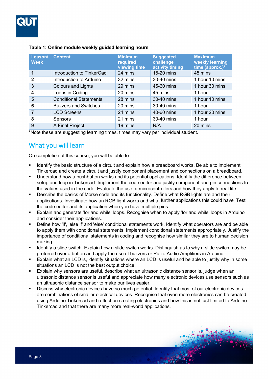

| Lesson/<br><b>Week</b> | <b>Content</b>                | <b>Minimum</b><br>required<br>viewing time | <b>Suggested</b><br>challenge<br>activity timing | <b>Maximum</b><br>weekly learning<br>time (approx.)* |
|------------------------|-------------------------------|--------------------------------------------|--------------------------------------------------|------------------------------------------------------|
|                        | Introduction to TinkerCad     | 24 mins                                    | 15-20 mins                                       | 45 mins                                              |
| $\mathbf{2}$           | Introduction to Arduino       | 32 mins                                    | 30-40 mins                                       | 1 hour 10 mins                                       |
| 3                      | <b>Colours and Lights</b>     | 29 mins                                    | 45-60 mins                                       | 1 hour 30 mins                                       |
| 4                      | Loops in Coding               | 20 mins                                    | 45 mins                                          | 1 hour                                               |
| 5                      | <b>Conditional Statements</b> | 28 mins                                    | 30-40 mins                                       | 1 hour 10 mins                                       |
| 6                      | <b>Buzzers and Switches</b>   | 20 mins                                    | 30-40 mins                                       | 1 hour                                               |
| 7                      | <b>LCD Screens</b>            | 24 mins                                    | 40-60 mins                                       | 1 hour 20 mins                                       |
| 8                      | Sensors                       | 21 mins                                    | 30-40 mins                                       | 1 hour                                               |
| 9                      | A Final Project               | 19 mins                                    | N/A                                              | 20 mins                                              |

#### **Table 1: Online module weekly guided learning hours**

\*Note these are suggesting learning times, times may vary per individual student.

## What you will learn

On completion of this course, you will be able to:

- **IDED 10** Identify the basic structure of a circuit and explain how a breadboard works. Be able to implement Tinkercad and create a circuit and justify component placement and connections on a breadboard.
- Understand how a pushbutton works and its potential applications. Identify the difference between setup and loop in Tinkercad. Implement the code editor and justify component and pin connections to the values used in the code. Evaluate the use of microcontrollers and how they apply to real life.
- Describe the basics of Morse code and its functionality. Define what RGB lights are and their applications. Investigate how an RGB light works and what further applications this could have. Test the code editor and its application when you have multiple pins.
- Explain and generate 'for and while' loops. Recognise when to apply 'for and while' loops in Arduino and consider their applications.
- Define how 'if', 'else if' and 'else' conditional statements work. Identify what operators are and be able to apply them with conditional statements. Implement conditional statements appropriately. Justify the importance of conditional statements in coding and recognise how similar they are to human decision making.
- Identify a slide switch. Explain how a slide switch works. Distinguish as to why a slide switch may be preferred over a button and apply the use of buzzers or Piezo Audio Amplifiers in Arduino.
- Explain what an LCD is, identify situations where an LCD is useful and be able to justify why in some situations an LCD is not the best output choice.
- Explain why sensors are useful, describe what an ultrasonic distance sensor is, judge when an ultrasonic distance sensor is useful and appreciate how many electronic devices use sensors such as an ultrasonic distance sensor to make our lives easier.
- Discuss why electronic devices have so much potential. Identify that most of our electronic devices are combinations of smaller electrical devices. Recognise that even more electronics can be created using Arduino Tinkercad and reflect on creating electronics and how this is not just limited to Arduino Tinkercad and that there are many more real-world applications.